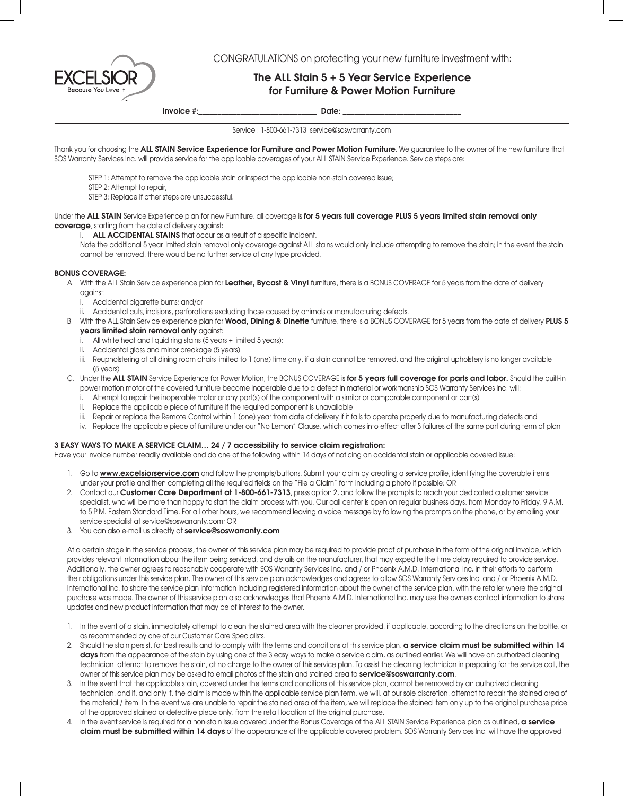CONGRATULATIONS on protecting your new furniture investment with:

# The ALL Stain 5 + 5 Year Service Experience for Furniture & Power Motion Furniture

Invoice #:\_\_\_\_\_\_\_\_\_\_\_\_\_\_\_\_\_\_\_\_\_\_\_\_\_\_\_\_\_\_\_\_\_\_ Date: \_\_\_\_\_\_\_\_\_\_\_\_\_\_\_\_\_\_\_\_\_\_\_\_\_\_\_\_\_\_

Service : 1-800-661-7313 service@soswarranty.com

Thank you for choosing the ALL STAIN Service Experience for Furniture and Power Motion Furniture. We guarantee to the owner of the new furniture that SOS Warranty Services Inc. will provide service for the applicable coverages of your ALL STAIN Service Experience. Service steps are:

STEP 1: Attempt to remove the applicable stain or inspect the applicable non-stain covered issue;

STEP 2: Attempt to repair;

STEP 3: Replace if other steps are unsuccessful.

Under the ALL STAIN Service Experience plan for new Furniture, all coverage is for 5 years full coverage PLUS 5 years limited stain removal only coverage, starting from the date of delivery against:

i. ALL ACCIDENTAL STAINS that occur as a result of a specific incident.

Note the additional 5 year limited stain removal only coverage against ALL stains would only include attempting to remove the stain; in the event the stain cannot be removed, there would be no further service of any type provided.

### BONUS COVERAGE:

A. With the ALL Stain Service experience plan for Leather, Bycast & Vinyl furniture, there is a BONUS COVERAGE for 5 years from the date of delivery against:

- i. Accidental cigarette burns; and/or
- ii. Accidental cuts, incisions, perforations excluding those caused by animals or manufacturing defects.
- B. With the ALL Stain Service experience plan for Wood, Dining & Dinette furniture, there is a BONUS COVERAGE for 5 years from the date of delivery PLUS 5 years limited stain removal only against:
	- i. All white heat and liquid ring stains (5 years + limited 5 years);
	- ii. Accidental glass and mirror breakage (5 years)
	- iii. Reupholstering of all dining room chairs limited to 1 (one) time only, if a stain cannot be removed, and the original upholstery is no longer available (5 years)
- C. Under the ALL STAIN Service Experience for Power Motion, the BONUS COVERAGE is for 5 years full coverage for parts and labor. Should the built-in power motion motor of the covered furniture become inoperable due to a defect in material or workmanship SOS Warranty Services Inc. will:
	- Attempt to repair the inoperable motor or any part(s) of the component with a similar or comparable component or part(s)
	- ii. Replace the applicable piece of furniture if the required component is unavailable
	- iii. Repair or replace the Remote Control within 1 (one) year from date of delivery if it fails to operate properly due to manufacturing defects and
	- iv. Replace the applicable piece of furniture under our "No Lemon" Clause, which comes into effect after 3 failures of the same part during term of plan

#### 3 EASY WAYS TO MAKE A SERVICE CLAIM… 24 / 7 accessibility to service claim registration:

Have your invoice number readily available and do one of the following within 14 days of noticing an accidental stain or applicable covered issue:

- 1. Go to www.excelsiorservice.com and follow the prompts/buttons. Submit your claim by creating a service profile, identifying the coverable items under your profile and then completing all the required fields on the "File a Claim" form including a photo if possible; OR
- 2. Contact our Customer Care Department at 1-800-661-7313, press option 2, and follow the prompts to reach your dedicated customer service specialist, who will be more than happy to start the claim process with you. Our call center is open on regular business days, from Monday to Friday, 9 A.M. to 5 P.M. Eastern Standard Time. For all other hours, we recommend leaving a voice message by following the prompts on the phone, or by emailing your service specialist at service@soswarranty.com; OR
- 3. You can also e-mail us directly at service@soswarranty.com

At a certain stage in the service process, the owner of this service plan may be required to provide proof of purchase in the form of the original invoice, which provides relevant information about the item being serviced, and details on the manufacturer, that may expedite the time delay required to provide service. Additionally, the owner agrees to reasonably cooperate with SOS Warranty Services Inc. and / or Phoenix A.M.D. International Inc. in their efforts to perform their obligations under this service plan. The owner of this service plan acknowledges and agrees to allow SOS Warranty Services Inc. and / or Phoenix A.M.D. International Inc. to share the service plan information including registered information about the owner of the service plan, with the retailer where the original purchase was made. The owner of this service plan also acknowledges that Phoenix A.M.D. International Inc. may use the owners contact information to share updates and new product information that may be of interest to the owner.

- 1. In the event of a stain, immediately attempt to clean the stained area with the cleaner provided, if applicable, according to the directions on the bottle, or as recommended by one of our Customer Care Specialists.
- 2. Should the stain persist, for best results and to comply with the terms and conditions of this service plan, a service claim must be submitted within 14 days from the appearance of the stain by using one of the 3 easy ways to make a service claim, as outlined earlier. We will have an authorized cleaning technician attempt to remove the stain, at no charge to the owner of this service plan. To assist the cleaning technician in preparing for the service call, the owner of this service plan may be asked to email photos of the stain and stained area to service@soswarranty.com.
- 3. In the event that the applicable stain, covered under the terms and conditions of this service plan, cannot be removed by an authorized cleaning technician, and if, and only if, the claim is made within the applicable service plan term, we will, at our sole discretion, attempt to repair the stained area of the material / item. In the event we are unable to repair the stained area of the item, we will replace the stained item only up to the original purchase price of the approved stained or defective piece only, from the retail location of the original purchase.
- 4. In the event service is required for a non-stain issue covered under the Bonus Coverage of the ALL STAIN Service Experience plan as outlined, a service claim must be submitted within 14 days of the appearance of the applicable covered problem. SOS Warranty Services Inc. will have the approved